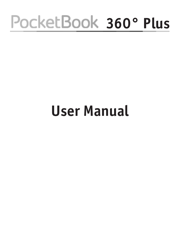# PocketBook 360° Plus

# **User Manual**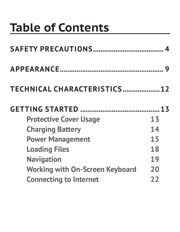## **Table of Contents**

| TECHNICAL CHARACTERISTICS 12 |
|------------------------------|
|                              |
| 13                           |
| 14                           |
| 15                           |
| 18                           |
| 19                           |
| 20                           |
| 22                           |
|                              |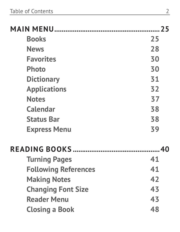| <b>Books</b>                | 25 |
|-----------------------------|----|
| <b>News</b>                 | 28 |
| <b>Favorites</b>            | 30 |
| <b>Photo</b>                | 30 |
| <b>Dictionary</b>           | 31 |
| <b>Applications</b>         | 32 |
| <b>Notes</b>                | 37 |
| Calendar                    | 38 |
| <b>Status Bar</b>           | 38 |
| <b>Express Menu</b>         | 39 |
|                             |    |
| <b>Turning Pages</b>        | 41 |
| <b>Following References</b> | 41 |
| <b>Making Notes</b>         | 42 |
| <b>Changing Font Size</b>   | 43 |
| <b>Reader Menu</b>          | 43 |
| <b>Closing a Book</b>       | 48 |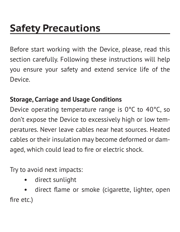<span id="page-4-0"></span>Before start working with the Device, please, read this section carefully. Following these instructions will help you ensure your safety and extend service life of the Device.

#### **Storage, Carriage and Usage Conditions**

Device operating temperature range is 0°С to 40°С, so don't expose the Device to excessively high or low temperatures. Never leave cables near heat sources. Heated cables or their insulation may become deformed or damaged, which could lead to fire or electric shock.

Try to avoid next impacts:

**•** direct sunlight

**•** direct flame or smoke (cigarette, lighter, open fire etc.)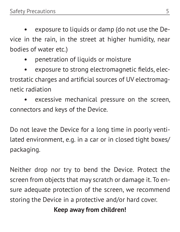**•** exposure to liquids or damp (do not use the Device in the rain, in the street at higher humidity, near bodies of water etc.)

**•** penetration of liquids or moisture

**•** exposure to strong electromagnetic fields, electrostatic charges and artificial sources of UV electromagnetic radiation

**•** excessive mechanical pressure on the screen, connectors and keys of the Device.

Do not leave the Device for a long time in poorly ventilated environment, e.g. in a car or in closed tight boxes/ packaging.

Neither drop nor try to bend the Device. Protect the screen from objects that may scratch or damage it. To ensure adequate protection of the screen, we recommend storing the Device in a protective and/or hard cover.

**Keep away from children!**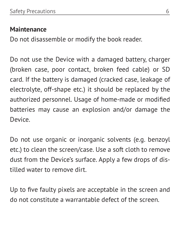#### **Maintenance**

Do not disassemble or modify the book reader.

Do not use the Device with a damaged battery, charger (broken case, poor contact, broken feed cable) or SD card. If the battery is damaged (cracked case, leakage of electrolyte, off-shape etc.) it should be replaced by the authorized personnel. Usage of home-made or modified batteries may cause an explosion and/or damage the Device.

Do not use organic or inorganic solvents (e.g. benzoyl etc.) to clean the screen/case. Use a soft cloth to remove dust from the Device's surface. Apply a few drops of distilled water to remove dirt.

Up to five faulty pixels are acceptable in the screen and do not constitute a warrantable defect of the screen.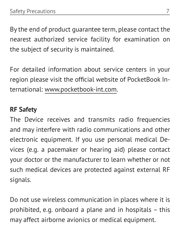By the end of product guarantee term, please contact the nearest authorized service facility for examination on the subject of security is maintained.

For detailed information about service centers in your region please visit the official website of PocketBook International: www.pocketbook-int.com.

#### **RF Safety**

The Device receives and transmits radio frequencies and may interfere with radio communications and other electronic equipment. If you use personal medical Devices (e.g. a pacemaker or hearing aid) please contact your doctor or the manufacturer to learn whether or not such medical devices are protected against external RF signals.

Do not use wireless communication in places where it is prohibited, e.g. onboard a plane and in hospitals – this may affect airborne avionics or medical equipment.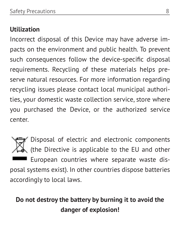#### **Utilization**

Incorrect disposal of this Device may have adverse impacts on the environment and public health. To prevent such consequences follow the device-specific disposal requirements. Recycling of these materials helps preserve natural resources. For more information regarding recycling issues please contact local municipal authorities, your domestic waste collection service, store where you purchased the Device, or the authorized service center.

Disposal of electric and electronic components (the Directive is applicable to the EU and other European countries where separate waste disposal systems exist). In other countries dispose batteries accordingly to local laws.

#### **Do not destroy the battery by burning it to avoid the danger of explosion!**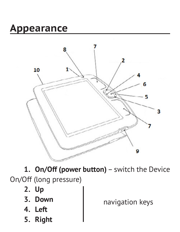## <span id="page-9-0"></span>**Appearance**



**1. On/Off (power button)** – switch the Device On/Off (long pressure)

- **2. Up**
- **3. Down**
- **4. Left**
- **5. Right**

navigation keys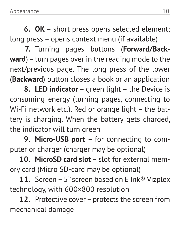**6. ОК** – short press opens selected element; long press – opens context menu (if available)

**7.** Turning pages buttons (**Forward/Backward**) – turn pages over in the reading mode to the next/previous page. The long press of the lower (**Backward**) button closes a book or an application

**8. LED indicator** – green light – the Device is consuming energy (turning pages, connecting to Wi-Fi network etc.). Red or orange light – the battery is charging. When the battery gets charged, the indicator will turn green

**9. Micro-USB port** – for connecting to computer or charger (charger may be optional)

**10. MicroSD card slot** – slot for external memory card (Micro SD-card may be optional)

**11.** Screen – 5'' screen based on E Ink® Vizplex technology, with 600×800 resolution

**12.** Protective cover – protects the screen from mechanical damage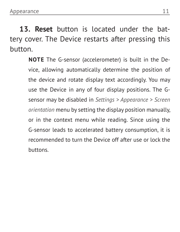**13. Reset** button is located under the battery cover. The Device restarts after pressing this button.

> **NOTE** The G-sensor (accelerometer) is built in the Device, allowing automatically determine the position of the device and rotate display text accordingly. You may use the Device in any of four display positions. The Gsensor may be disabled in *Settings > Appearance > Screen orientation* menu by setting the display position manually, or in the context menu while reading. Since using the G-sensor leads to accelerated battery consumption, it is recommended to turn the Device off after use or lock the buttons.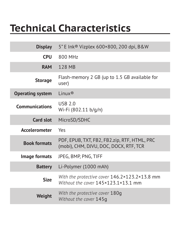## <span id="page-12-0"></span>**Technical Сharacteristics**

| <b>Display</b>          | 5" E Ink® Vizplex 600×800, 200 dpi, B&W                                                |
|-------------------------|----------------------------------------------------------------------------------------|
| CPU                     | 800 MHz                                                                                |
| <b>RAM</b>              | 128 MB                                                                                 |
| <b>Storage</b>          | Flash-memory 2 GB (up to 1.5 GB available for<br>user)                                 |
| <b>Operating system</b> | $I$ inux <sup>®</sup>                                                                  |
| Communications          | <b>USB 2.0</b><br>Wi-Fi (802.11 b/g/n)                                                 |
| Card slot               | MicroSD/SDHC                                                                           |
| Accelerometer           | Yes                                                                                    |
| <b>Book formats</b>     | PDF, EPUB, TXT, FB2, FB2.zip, RTF, HTML, PRC<br>(mobi), CHM, DJVU, DOC, DOCX, RTF, TCR |
| Image formats           | JPEG, BMP, PNG, TIFF                                                                   |
| <b>Battery</b>          | Li-Polymer (1000 mAh)                                                                  |
| Size                    | With the protective cover 146.2×123.2×13.8 mm<br>Without the cover 145×123.1×13.1 mm   |
| Weight                  | With the protective cover 180q<br>Without the cover 145q                               |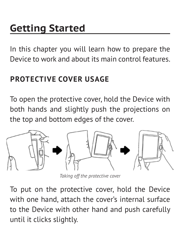## <span id="page-13-0"></span>**Getting Started**

In this chapter you will learn how to prepare the Device to work and about its main control features.

#### **PROTECTIVE COVER USAGE**

To open the protective cover, hold the Device with both hands and slightly push the projections on the top and bottom edges of the cover.



*Taking off the protective cover*

To put on the protective cover, hold the Device with one hand, attach the cover's internal surface to the Device with other hand and push carefully until it clicks slightly.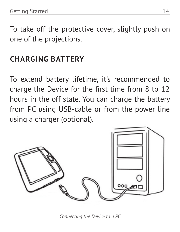<span id="page-14-0"></span>To take off the protective cover, slightly push on one of the projections.

#### **CHARGING BATTERY**

To extend battery lifetime, it's recommended to charge the Device for the first time from 8 to 12 hours in the off state. You can charge the battery from PC using USB-cable or from the power line using a charger (optional).

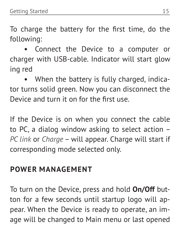<span id="page-15-0"></span>To charge the battery for the first time, do the following:

**•** Connect the Device to a computer or charger with USB-cable. Indicator will start glow ing red

**•** When the battery is fully charged, indicator turns solid green. Now you can disconnect the Device and turn it on for the first use.

If the Device is on when you connect the cable to PC, a dialog window asking to select action – *PC link* or *Charge* – will appear. Charge will start if corresponding mode selected only.

#### **POWER MANAGEMENT**

To turn on the Device, press and hold **On/Off** button for a few seconds until startup logo will appear. When the Device is ready to operate, an image will be changed to Main menu or last opened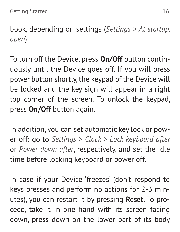book, depending on settings (*Settings > At startup, open*).

To turn off the Device, press **On/Off** button continuously until the Device goes off. If you will press power button shortly, the keypad of the Device will be locked and the key sign will appear in a right top corner of the screen. To unlock the keypad, press **On/Off** button again.

In addition, you can set automatic key lock or power off: go to *Settings > Clock > Lock keyboard after* or *Power down after*, respectively, and set the idle time before locking keyboard or power off.

In case if your Device 'freezes' (don't respond to keys presses and perform no actions for 2-3 minutes), you can restart it by pressing **Reset**. To proceed, take it in one hand with its screen facing down, press down on the lower part of its body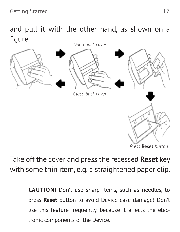and pull it with the other hand, as shown on a figure.



Take off the cover and press the recessed **Reset** key with some thin item, e.g. a straightened paper clip.

> **CAUTION!** Don't use sharp items, such as needles, to press **Reset** button to avoid Device case damage! Don't use this feature frequently, because it affects the electronic components of the Device.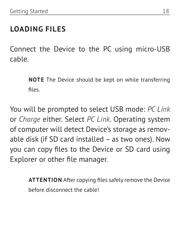#### <span id="page-18-0"></span>**LOADING FILES**

Connect the Device to the PC using micro-USB cable.

> **NOTE** The Device should be kept on while transferring files.

You will be prompted to select USB mode: *PC Link* or *Charge* either. Select *PC Link*. Operating system of computer will detect Device's storage as removable disk (if SD card installed – as two ones). Now you can copy files to the Device or SD card using Explorer or other file manager.

> **ATTENTION** After copying files safely remove the Device before disconnect the cable!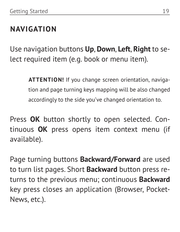#### <span id="page-19-0"></span>**NAVIGATION**

Use navigation buttons **Up**, **Down**, **Left**, **Right** to select required item (e.g. book or menu item).

> **ATTENTION!** If you change screen orientation, navigation and page turning keys mapping will be also changed accordingly to the side you've changed orientation to.

Press **OK** button shortly to open selected. Continuous **OK** press opens item context menu (if available).

Page turning buttons **Backward/Forward** are used to turn list pages. Short **Backward** button press returns to the previous menu; continuous **Backward** key press closes an application (Browser, Pocket-News, etc.).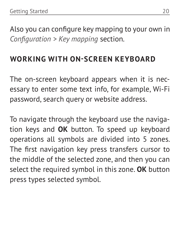<span id="page-20-0"></span>Also you can configure key mapping to your own in *Configuration > Key mapping* section.

#### **WORKING WITH ON-SCREEN KEYBOARD**

The on-screen keyboard appears when it is necessary to enter some text info, for example, Wi-Fi password, search query or website address.

To navigate through the keyboard use the navigation keys and **OK** button. To speed up keyboard operations all symbols are divided into 5 zones. The first navigation key press transfers cursor to the middle of the selected zone, and then you can select the required symbol in this zone. **OK** button press types selected symbol.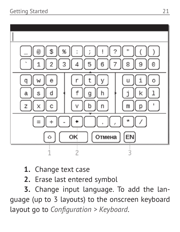

- **1.** Change text case
- **2.** Erase last entered symbol

**3.** Change input language. To add the language (up to 3 layouts) to the onscreen keyboard layout go to *Configuration > Keyboard*.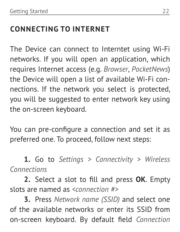#### <span id="page-22-0"></span>**CONNECTING TO INTERNET**

The Device can connect to Interntet using Wi-Fi networks. If you will open an application, which requires Internet access (e.g. *Browser*, *PocketNews*) the Device will open a list of available Wi-Fi connections. If the network you select is protected, you will be suggested to enter network key using the on-screen keyboard.

You can pre-configure a connection and set it as preferred one. To proceed, follow next steps:

**1.** Go to *Settings > Connectivity > Wireless Connections*

**2.** Select a slot to fill and press **OK**. Empty slots are named as *<connection #>*

**3.** Press *Network name (SSID)* and select one of the available networks or enter its SSID from on-screen keyboard. By default field *Connection*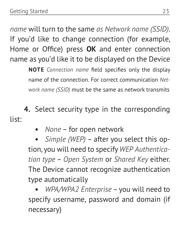*name* will turn to the same *as Network name (SSID)*. If you'd like to change connection (for example, Home or Office) press **OK** and enter connection name as you'd like it to be displayed on the Device

> **NOTE** *Connection name* field specifies only the display name of the connection. For correct communication *Network name (SSID)* must be the same as network transmits

**4.** Select security type in the corresponding list:

**•** *None* – for open network

**•** *Simple (WEP)* – after you select this option, you will need to specify *WEP Authentication type* – *Open System* or *Shared Key* either. The Device cannot recognize authentication type automatically

**•** *WPA/WPA2 Enterprise* – you will need to specify username, password and domain (if necessary)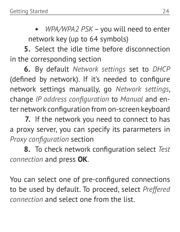**•** *WPA/WPA2 PSK* – you will need to enter network key (up to 64 symbols)

**5.** Select the idle time before disconnection in the corresponding section

**6.** By default *Network settings* set to *DHCP* (defined by network). If it's needed to configure network settings manually, go *Network settings*, change *IP address configuration* to *Manual* and enter network configuration from on-screen keyboard

**7.** If the network you need to connect to has a proxy server, you can specify its pararmeters in *Proxy configuration* section

**8.** To check network configuration select *Test connection* and press **OK**.

You can select one of pre-configured connections to be used by default. To proceed, select *Preffered connection* and select one from the list.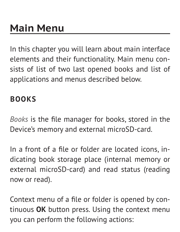<span id="page-25-0"></span>In this chapter you will learn about main interface elements and their functionality. Main menu consists of list of two last opened books and list of applications and menus described below.

#### **BOOKS**

*Books* is the file manager for books, stored in the Device's memory and external microSD-card.

In a front of a file or folder are located icons, indicating book storage place (internal memory or external microSD-card) and read status (reading now or read).

Context menu of a file or folder is opened by continuous **OK** button press. Using the context menu you can perform the following actions: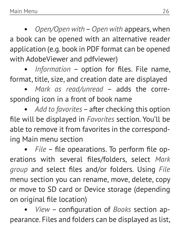**•** *Open/Open with* – *Open with* appears, when a book can be opened with an alternative reader application (e.g. book in PDF format can be opened with AdobeViewer and pdfviewer)

**•** *Information* – option for files. File name, format, title, size, and creation date are displayed

**•** *Mark as read/unread* – adds the corresponding icon in a front of book name

**•** *Add to favorites* – after checking this option file will be displayed in *Favorites* section. You'll be able to remove it from favorites in the corresponding Main menu section

**•** *File* – file opearations. To perform file operations with several files/folders, select *Mark group* and select files and/or folders. Using *File* menu section you can rename, move, delete, copy or move to SD card or Device storage (depending on original file location)

**•** *View* – configuration of *Books* section appearance. Files and folders can be displayed as list,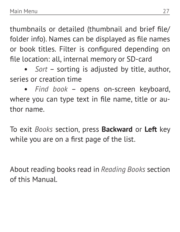thumbnails or detailed (thumbnail and brief file/ folder info). Names can be displayed as file names or book titles. Filter is configured depending on file location: all, internal memory or SD-card

**•** *Sort* – sorting is adjusted by title, author, series or creation time

**•** *Find book* – opens on-screen keyboard, where you can type text in file name, title or author name.

To exit *Books* section, press **Backward** or **Left** key while you are on a first page of the list.

About reading books read in *Reading Books* section of this Manual.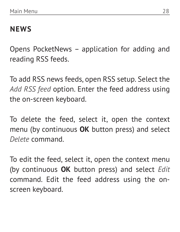#### <span id="page-28-0"></span>**NEWS**

Opens PocketNews – application for adding and reading RSS feeds.

To add RSS news feeds, open RSS setup. Select the *Add RSS feed* option. Enter the feed address using the on-screen keyboard.

To delete the feed, select it, open the context menu (by continuous **OK** button press) and select *Delete* command.

To edit the feed, select it, open the context menu (by continuous **OK** button press) and select *Edit* command. Edit the feed address using the onscreen keyboard.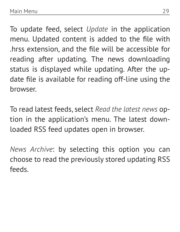To update feed, select *Update* in the application menu. Updated content is added to the file with .hrss extension, and the file will be accessible for reading after updating. The news downloading status is displayed while updating. After the update file is available for reading off-line using the browser.

To read latest feeds, select *Read the latest news* option in the application's menu. The latest downloaded RSS feed updates open in browser.

*News Archive*: by selecting this option you can choose to read the previously stored updating RSS feeds.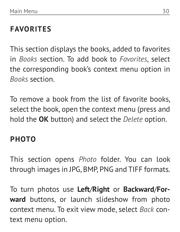#### <span id="page-30-0"></span>**FAVORITES**

This section displays the books, added to favorites in *Books* section. To add book to *Favorites*, select the corresponding book's context menu option in *Books* section.

To remove a book from the list of favorite books, select the book, open the context menu (press and hold the **OK** button) and select the *Delete* option.

#### **PHOTO**

This section opens *Photo* folder. You can look through images in JPG, BMP, PNG and TIFF formats.

To turn photos use **Left**/**Right** or **Backward**/**Forward** buttons, or launch slideshow from photo context menu. To exit view mode, select *Back* context menu option.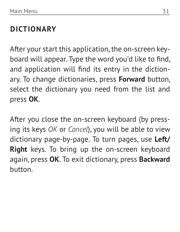#### <span id="page-31-0"></span>**DICTIONARY**

After your start this application, the on-screen keyboard will appear. Type the word you'd like to find, and application will find its entry in the dictionary. To change dictionaries, press **Forward** button, select the dictionary you need from the list and press **OK**.

After you close the on-screen keyboard (by pressing its keys *OK* or *Cancel*), you will be able to view dictionary page-by-page. To turn pages, use **Left/ Right** keys. To bring up the on-screen keyboard again, press **OK**. To exit dictionary, press **Backward** button.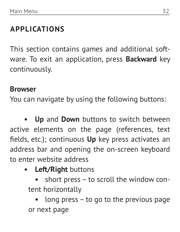#### <span id="page-32-0"></span>**APPLICATIONS**

This section contains games and additional software. To exit an application, press **Backward** key continuously.

#### **Browser**

You can navigate by using the following buttons:

**• Up** and **Down** buttons to switch between active elements on the page (references, text fields, etc.); continuous **Up** key press activates an address bar and opening the on-screen keyboard to enter website address

**• Left/Right** buttons

**•** short press – to scroll the window content horizontally

**•** long press – to go to the previous page or next page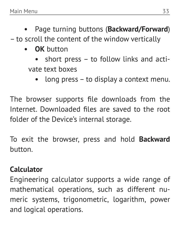- **•** Page turning buttons (**Backward/Forward**) – to scroll the content of the window vertically
	- **• OK** button
		- **•** short press to follow links and activate text boxes
			- **•** long press to display a context menu.

The browser supports file downloads from the Internet. Downloaded files are saved to the root folder of the Device's internal storage.

To exit the browser, press and hold **Backward** button.

#### **Calculator**

Engineering calculator supports a wide range of mathematical operations, such as different numeric systems, trigonometric, logarithm, power and logical operations.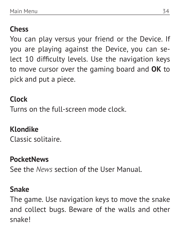#### **Chess**

You can play versus your friend or the Device. If you are playing against the Device, you can select 10 difficulty levels. Use the navigation keys to move cursor over the gaming board and **OK** to pick and put a piece.

#### **Clock**

Turns on the full-screen mode clock.

#### **Klondike**

Classic solitaire.

#### **PocketNews**

See the *News* section of the User Manual.

#### **Snake**

The game. Use navigation keys to move the snake and collect bugs. Beware of the walls and other snake!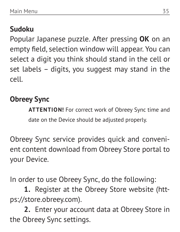#### **Sudoku**

Popular Japanese puzzle. After pressing **OK** on an empty field, selection window will appear. You can select a digit you think should stand in the cell or set labels – digits, you suggest may stand in the cell.

#### **Obreey Sync**

**ATTENTION!** For correct work of Obreey Sync time and date on the Device should be adjusted properly.

Obreey Sync service provides quick and convenient content download from Obreey Store portal to your Device.

In order to use Obreey Sync, do the following:

**1.** Register at the Obreey Store website (https://store.obreey.com).

**2.** Enter your account data at Obreey Store in the Obreey Sync settings.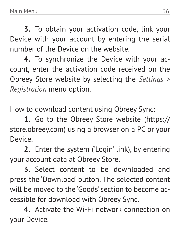**3.** To obtain your activation code, link your Device with your account by entering the serial number of the Device on the website.

**4.** To synchronize the Device with your account, enter the activation code received on the Obreey Store website by selecting the *Settings > Registration* menu option.

How to download content using Obreey Sync:

**1.** Go to the Obreey Store website (https:// store.obreey.com) using a browser on a PC or your Device.

**2.** Enter the system ('Login' link), by entering your account data at Obreey Store.

**3.** Select content to be downloaded and press the 'Download' button. The selected content will be moved to the 'Goods' section to become accessible for download with Obreey Sync.

**4.** Activate the Wi-Fi network connection on your Device.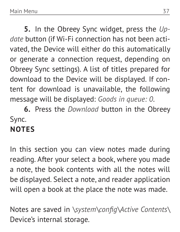<span id="page-37-0"></span>**5.** In the Obreey Sync widget, press the *Update* button (if Wi-Fi connection has not been activated, the Device will either do this automatically or generate a connection request, depending on Obreey Sync settings). A list of titles prepared for download to the Device will be displayed. If content for download is unavailable, the following message will be displayed: *Goods in queue: 0*.

**6.** Press the *Download* button in the Obreey Sync.

#### **NOTES**

In this section you can view notes made during reading. After your select a book, where you made a note, the book contents with all the notes will be displayed. Select a note, and reader application will open a book at the place the note was made.

Notes are saved in *\system\config\Active Contents\* Device's internal storage.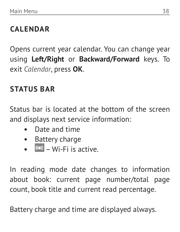#### <span id="page-38-0"></span>**CALENDAR**

Opens current year calendar. You can change year using **Left/Right** or **Backward/Forward** keys. To exit *Calendar*, press **OK**.

#### **STATUS BAR**

Status bar is located at the bottom of the screen and displays next service information:

- **•** Date and time
- **•** Battery charge
- **•** Wi-Fi is active.

In reading mode date changes to information about book: current page number/total page count, book title and current read percentage.

Battery charge and time are displayed always.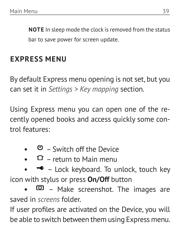<span id="page-39-0"></span>**NOTE** In sleep mode the clock is removed from the status bar to save power for screen update.

#### **EXPRESS MENU**

By default Express menu opening is not set, but you can set it in *Settings > Key mapping* section.

Using Express menu you can open one of the recently opened books and access quickly some control features:

- **•** Switch off the Device
- **•** return to Main menu
- **•** Lock keyboard. To unlock, touch key icon with stylus or press **On/Off** button
- **•** Make screenshot. The images are saved in *screens* folder.

If user profiles are activated on the Device, you will be able to switch between them using Express menu.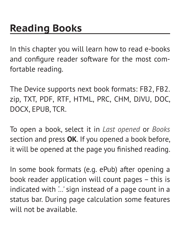<span id="page-40-0"></span>In this chapter you will learn how to read e-books and configure reader software for the most comfortable reading.

The Device supports next book formats: FB2, FB2. zip, TXT, PDF, RTF, HTML, PRC, CHM, DJVU, DOC, DOCX, EPUB, TCR.

To open a book, select it in *Last opened* or *Books* section and press **OK**. If you opened a book before, it will be opened at the page you finished reading.

In some book formats (e.g. ePub) after opening a book reader application will count pages – this is indicated with *'…'* sign instead of a page count in a status bar. During page calculation some features will not be available.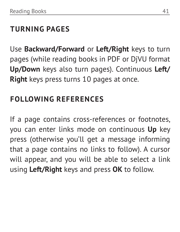#### <span id="page-41-0"></span>**TURNING PAGES**

Use **Backward/Forward** or **Left/Right** keys to turn pages (while reading books in PDF or DjVU format **Up/Down** keys also turn pages). Continuous **Left/ Right** keys press turns 10 pages at once.

#### **FOLLOWING REFERENCES**

If a page contains cross-references or footnotes, you can enter links mode on continuous **Up** key press (otherwise you'll get a message informing that a page contains no links to follow). A cursor will appear, and you will be able to select a link using **Left/Right** keys and press **OK** to follow.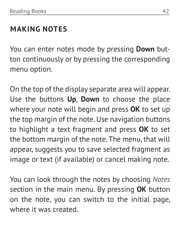#### <span id="page-42-0"></span>**MAKING NOTES**

You can enter notes mode by pressing **Down** button continuously or by pressing the corresponding menu option.

On the top of the display separate area will appear. Use the buttons **Up**, **Down** to choose the place where your note will begin and press **OK** to set up the top margin of the note. Use navigation buttons to highlight a text fragment and press **OK** to set the bottom margin of the note. The menu, that will appear, suggests you to save selected fragment as image or text (if available) or cancel making note.

You can look through the notes by choosing *Notes* section in the main menu. By pressing **OK** button on the note, you can switch to the initial page, where it was created.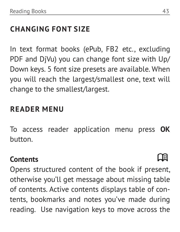#### <span id="page-43-0"></span>**CHANGING FONT SIZE**

In text format books (ePub, FB2 etc., excluding PDF and DjVu) you can change font size with Up/ Down keys. 5 font size presets are available. When you will reach the largest/smallest one, text will change to the smallest/largest.

#### **READER MENU**

To access reader application menu press **OK** button.

#### **Contents**

Opens structured content of the book if present, otherwise you'll get message about missing table of contents. Active contents displays table of contents, bookmarks and notes you've made during reading. Use navigation keys to move across the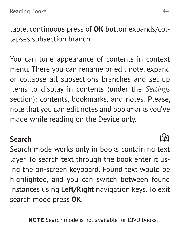table, continuous press of **OK** button expands/collapses subsection branch.

You can tune appearance of contents in context menu. There you can rename or edit note, expand or collapse all subsections branches and set up items to display in contents (under the *Settings* section): contents, bookmarks, and notes. Please, note that you can edit notes and bookmarks you've made while reading on the Device only.

#### **Search**

Search mode works only in books containing text layer. To search text through the book enter it using the on-screen keyboard. Found text would be highlighted, and you can switch between found instances using **Left/Right** navigation keys. To exit search mode press **OK**.

**NOTE** Search mode is not available for DJVU books.

### 199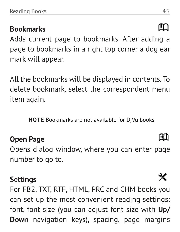#### **Bookmarks**

Adds current page to bookmarks. After adding a page to bookmarks in a right top corner a dog ear mark will appear.

All the bookmarks will be displayed in contents. To delete bookmark, select the correspondent menu item again.

**NOTE** Bookmarks are not available for DjVu books

#### **Open Page**

Opens dialog window, where you can enter page number to go to.

#### **Settings**

For FB2, TXT, RTF, HTML, PRC and CHM books you can set up the most convenient reading settings: font, font size (you can adjust font size with **Up/ Down** navigation keys), spacing, page margins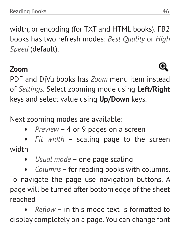width, or encoding (for TXT and HTML books). FB2 books has two refresh modes: *Best Quality* or *High Speed* (default).

#### **Zoom**

PDF and DjVu books has *Zoom* menu item instead of *Settings*. Select zooming mode using **Left/Right** keys and select value using **Up/Down** keys.

Next zooming modes are available:

**•** *Preview* – 4 or 9 pages on a screen

**•** *Fit width* – scaling page to the screen width

**•** *Usual mode* – one page scaling

**•** *Columns* – for reading books with columns. To navigate the page use navigation buttons. A page will be turned after bottom edge of the sheet reached

**•** *Reflow* – in this mode text is formatted to display completely on a page. You can change font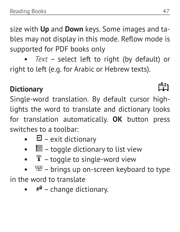size with **Up** and **Down** keys. Some images and tables may not display in this mode. Reflow mode is supported for PDF books only

**•** *Text* – select left to right (by default) or right to left (e.g. for Arabic or Hebrew texts).

#### **Dictionary**

Single-word translation. By default cursor highlights the word to translate and dictionary looks for translation automatically. **OK** button press switches to a toolbar:

- **•** exit dictionary
- **•** toggle dictionary to list view
- **•** toggle to single-word view
- **•** brings up on-screen keyboard to type

in the word to translate

**•** – change dictionary.

## r<sup>az</sup>ı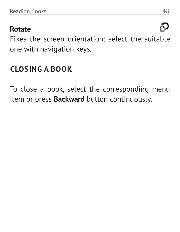#### <span id="page-48-0"></span>**Rotate**

Fixes the screen orientation: select the suitable one with navigation keys.

#### **CLOSING A BOOK**

To close a book, select the corresponding menu item or press **Backward** button continuously.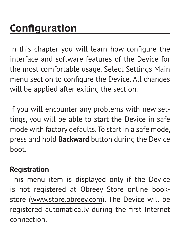<span id="page-49-0"></span>In this chapter you will learn how configure the interface and software features of the Device for the most comfortable usage. Select Settings Main menu section to configure the Device. All changes will be applied after exiting the section.

If you will encounter any problems with new settings, you will be able to start the Device in safe mode with factory defaults. To start in a safe mode, press and hold **Backward** button during the Device boot.

#### **Registration**

This menu item is displayed only if the Device is not registered at Obreey Store online bookstore ([www.store.obreey.c](http://www.bookland.net)om). The Device will be registered automatically during the first Internet connection.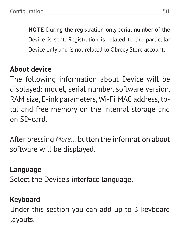**NOTE** During the registration only serial number of the Device is sent. Registration is related to the particular Device only and is not related to Obreey Store account.

#### **About device**

The following information about Device will be displayed: model, serial number, software version, RAM size, E-ink parameters, Wi-Fi MAC address, total and free memory on the internal storage and on SD-card.

After pressing *More…* button the information about software will be displayed.

#### **Language**

Select the Device's interface language.

#### **Keyboard**

Under this section you can add up to 3 keyboard layouts.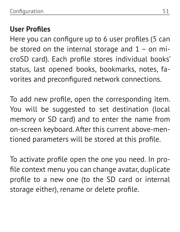#### **User Profiles**

Here you can configure up to 6 user profiles (5 can be stored on the internal storage and  $1 -$  on microSD card). Each profile stores individual books' status, last opened books, bookmarks, notes, favorites and preconfigured network connections.

To add new profile, open the corresponding item. You will be suggested to set destination (local memory or SD card) and to enter the name from on-screen keyboard. After this current above-mentioned parameters will be stored at this profile.

To activate profile open the one you need. In profile context menu you can change avatar, duplicate profile to a new one (to the SD card or internal storage either), rename or delete profile.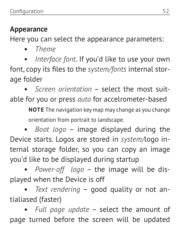#### **Appearance**

Here you can select the appearance parameters:

**•** *Theme*

**•** *Interface font*. If you'd like to use your own font, copy its files to the *system/fonts* internal storage folder

**•** *Screen orientation* – select the most suitable for you or press *auto* for accelrometer-based

> **NOTE** The navigation key map may change as you change orientation from portrait to landscape.

**•** *Boot logo* – image displayed during the Device starts. Logos are stored in *system/*logo internal storage folder, so you can copy an image you'd like to be displayed during startup

**•** *Power-off logo* – the image will be displayed when the Device is off

**•** *Text rendering* – good quality or not antialiased (faster)

**•** *Full page update* – select the amount of page turned before the screen will be updated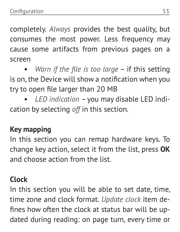completely. *Always* provides the best quality, but consumes the most power. Less frequency may cause some artifacts from previous pages on a screen

**•** *Warn if the file is too large* – if this setting is on, the Device will show a notification when you try to open file larger than 20 MB

**•** *LED indication* – you may disable LED indication by selecting *off* in this section.

#### **Key mapping**

In this section you can remap hardware keys. To change key action, select it from the list, press **OK** and choose action from the list.

#### **Clock**

In this section you will be able to set date, time, time zone and clock format. *Update clock* item defines how often the clock at status bar will be updated during reading: on page turn, every time or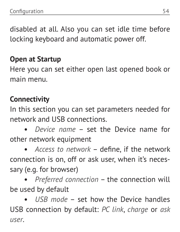disabled at all. Also you can set idle time before locking keyboard and automatic power off.

#### **Open at Startup**

Here you can set either open last opened book or main menu.

#### **Connectivity**

In this section you can set parameters needed for network and USB connections.

**•** *Device name* – set the Device name for other network equipment

**•** *Access to network* – define, if the network connection is on, off or ask user, when it's necessary (e.g. for browser)

**•** *Preferred connection* – the connection will be used by default

**•** *USB mode* – set how the Device handles USB connection by default: *PC link*, *charge* or *ask user*.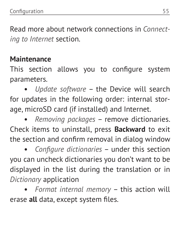Read more about network connections in *Connecting to Internet* section.

#### **Maintenance**

This section allows you to configure system parameters.

**•** *Update software* – the Device will search for updates in the following order: internal storage, microSD card (if installed) and Internet.

**•** *Removing packages* – remove dictionaries. Check items to uninstall, press **Backward** to exit the section and confirm removal in dialog window

**•** *Configure dictionaries* – under this section you can uncheck dictionaries you don't want to be displayed in the list during the translation or in *Dictionary* application

**•** *Format internal memory* – this action will erase **all** data, except system files.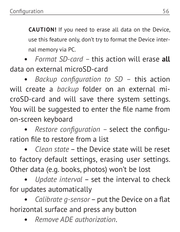**CAUTION!** If you need to erase all data on the Device, use this feature only, don't try to format the Device internal memory via PC.

**•** *Format SD-card –* this action will erase **all** data on external microSD-card

**•** *Backup configuration to SD –* this action will create a *backup* folder on an external microSD-card and will save there system settings. You will be suggested to enter the file name from on-screen keyboard

**•** *Restore configuration –* select the configuration file to restore from a list

**•** *Clean state* – the Device state will be reset to factory default settings, erasing user settings. Other data (e.g. books, photos) won't be lost

**•** *Update interval* – set the interval to check for updates automatically

**•** *Calibrate g-sensor* – put the Device on a flat horizontal surface and press any button

**•** *Remove ADE authorization*.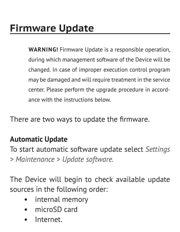<span id="page-57-0"></span>**WARNING!** Firmware Update is a responsible operation, during which management software of the Device will be changed. In case of improper execution control program may be damaged and will require treatment in the service center. Please perform the upgrade procedure in accordance with the instructions below.

There are two ways to update the firmware.

#### **Automatic Update**

To start automatic software update select *Settings > Maintenance > Update software.*

The Device will begin to check available update sources in the following order:

- **•** internal memory
- **•** microSD card
- **•** Internet.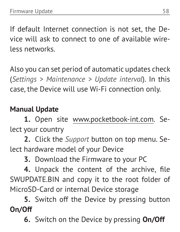If default Internet connection is not set, the Device will ask to connect to one of available wireless networks.

Also you can set period of automatic updates check (*Settings > Maintenance > Update interval*). In this case, the Device will use Wi-Fi connection only.

#### **Manual Update**

**1.** Open site www.pocketbook-int.com. Select your country

**2.** Click the *Support* button on top menu. Select hardware model of your Device

**3.** Download the Firmware to your PC

**4.** Unpack the content of the archive, file SWUPDATE.BIN and copy it to the root folder of MicroSD-Card or internal Device storage

**5.** Switch off the Device by pressing button **On/Off**

**6.** Switch on the Device by pressing **On/Off**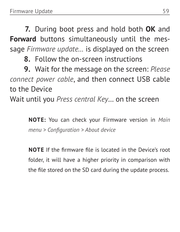**7.** During boot press and hold both **OK** and **Forward** buttons simultaneously until the message *Firmware update…* is displayed on the screen

**8.** Follow the on-screen instructions

**9.** Wait for the message on the screen: *Please connect power cable*, and then connect USB cable to the Device

Wait until you *Press central Key*… on the screen

**NOTE:** You can check your Firmware version in *Main menu > Configuration > About device*

**NOTE** If the firmware file is located in the Device's root folder, it will have a higher priority in comparison with the file stored on the SD card during the update process.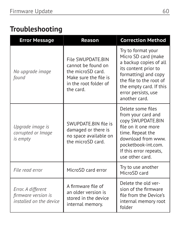#### **Troubleshooting**

| <b>Error Message</b>                                                 | Reason                                                                                                                      | <b>Correction Method</b>                                                                                                                                                                                          |
|----------------------------------------------------------------------|-----------------------------------------------------------------------------------------------------------------------------|-------------------------------------------------------------------------------------------------------------------------------------------------------------------------------------------------------------------|
| No upgrade image<br>found                                            | File SWUPDATE BIN<br>cannot be found on<br>the microSD card.<br>Make sure the file is<br>in the root folder of<br>the card. | Try to format your<br>Micro SD card (make<br>a backup copies of all<br>its content prior to<br>formatting) and copy<br>the file to the root of<br>the empty card. If this<br>error persists, use<br>another card. |
| Upgrade image is<br>corrupted or Image<br>is empty                   | SWUPDATE BIN file is<br>damaged or there is<br>no space available on<br>the microSD card.                                   | Delete some files<br>from your card and<br>copy SWUPDATE.BIN<br>file on it one more<br>time. Repeat the<br>download from www.<br>pocketbook-int.com.<br>If this error repeats,<br>use other card.                 |
| File read error                                                      | MicroSD card error                                                                                                          | Try to use another<br>MicroSD card                                                                                                                                                                                |
| Error. A different<br>firmware version is<br>installed on the device | A firmware file of<br>an older version is<br>stored in the device<br>internal memory.                                       | Delete the old ver-<br>sion of the firmware<br>file from the Device's<br>internal memory root<br>folder                                                                                                           |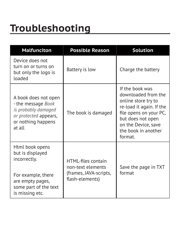## <span id="page-61-0"></span>**Troubleshooting**

| <b>Malfunciton</b>                                                                                                                        | <b>Possible Reason</b>                                                               | <b>Solution</b>                                                                                                                                                                                   |
|-------------------------------------------------------------------------------------------------------------------------------------------|--------------------------------------------------------------------------------------|---------------------------------------------------------------------------------------------------------------------------------------------------------------------------------------------------|
| Device does not<br>turn on or turns on<br>but only the logo is<br>loaded                                                                  | Battery is low                                                                       | Charge the battery                                                                                                                                                                                |
| A book does not open<br>- the message Book<br>is probably damaged<br>or protected appears,<br>or nothing happens<br>at all                | The book is damaged                                                                  | If the book was<br>downloaded from the<br>online store try to<br>re-load it again. If the<br>file opens on your PC,<br>but does not open<br>on the Device, save<br>the book in another<br>format. |
| Html book opens<br>but is displayed<br>incorrectly.<br>For example, there<br>are empty pages,<br>some part of the text<br>is missing etc. | HTMI-files contain<br>non-text elements<br>(frames, JAVA-scripts,<br>flash-elements) | Save the page in TXT<br>format                                                                                                                                                                    |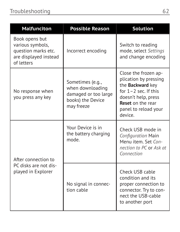| <b>Malfunciton</b>                                                                               | <b>Possible Reason</b>                                                                          | <b>Solution</b>                                                                                                                                                                    |
|--------------------------------------------------------------------------------------------------|-------------------------------------------------------------------------------------------------|------------------------------------------------------------------------------------------------------------------------------------------------------------------------------------|
| Book opens but<br>various symbols,<br>question marks etc.<br>are displayed instead<br>of letters | Incorrect encoding                                                                              | Switch to reading<br>mode, select Settings<br>and change encoding                                                                                                                  |
| No response when<br>you press any key                                                            | Sometimes (e.g.,<br>when downloading<br>damaged or too large<br>books) the Device<br>may freeze | Close the frozen ap-<br>plication by pressing<br>the Backward key<br>for $1 - 2$ sec. If this<br>doesn't help, press<br><b>Reset on the rear</b><br>panel to reload your<br>device |
| After connection to<br>PC disks are not dis-<br>played in Explorer                               | Your Device is in<br>the battery charging<br>mode.                                              | Check USB mode in<br>Configuration Main<br>Menu item. Set Con-<br>nection to PC or Ask at<br>Connection                                                                            |
|                                                                                                  | No signal in connec-<br>tion cable                                                              | Check USB cable<br>condition and its<br>proper connection to<br>connector. Try to con-<br>nect the USB-cable<br>to another port                                                    |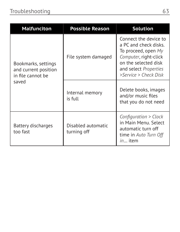| <b>Malfunciton</b>                                                        | <b>Possible Reason</b>            | <b>Solution</b>                                                                                                                                                          |
|---------------------------------------------------------------------------|-----------------------------------|--------------------------------------------------------------------------------------------------------------------------------------------------------------------------|
| Bookmarks, settings<br>and current position<br>in file cannot be<br>saved | File system damaged               | Connect the device to<br>a PC and check disks.<br>To proceed, open My<br>Computer, right-click<br>on the selected disk<br>and select Properties<br>>Service > Check Disk |
|                                                                           | Internal memory<br>is full        | Delete books, images<br>and/or music files<br>that you do not need                                                                                                       |
| Battery discharges<br>too fast                                            | Disabled automatic<br>turning off | Configuration > Clock<br>in Main Menu, Select<br>automatic turn off<br>time in Auto Turn Off<br>in item                                                                  |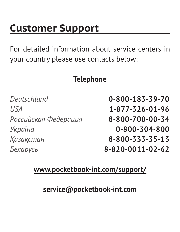## <span id="page-64-0"></span>**Customer Support**

For detailed information about service centers in your country please use contacts below:

#### **Telephone**

*Deutschland* **0-800-183-39-70** *USA* **1-877-326-01-96** *Российская Федерация* **8-800-700-00-34** *Україна* **0-800-304-800** *Қазақстан* **8-800-333-35-13** *Беларусь* **8-820-0011-02-62**

#### **www.pocketbook-int.com/support/**

**service@pocketbook-int.com**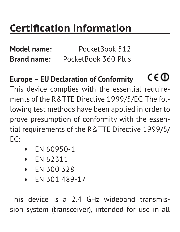## <span id="page-65-0"></span>**Certification information**

**Model name:** PocketBook 512 **Brand name:** PocketBook 360 Plus

#### C <del>C</del> መ **Europe – EU Declaration of Conformity**

This device complies with the essential requirements of the R&TTE Directive 1999/5/EC. The following test methods have been applied in order to prove presumption of conformity with the essential requirements of the R&TTE Directive 1999/5/ EC:

- **•** EN 60950-1
- **•** EN 62311
- **•** EN 300 328
- **•** EN 301 489-17

This device is a 2.4 GHz wideband transmission system (transceiver), intended for use in all